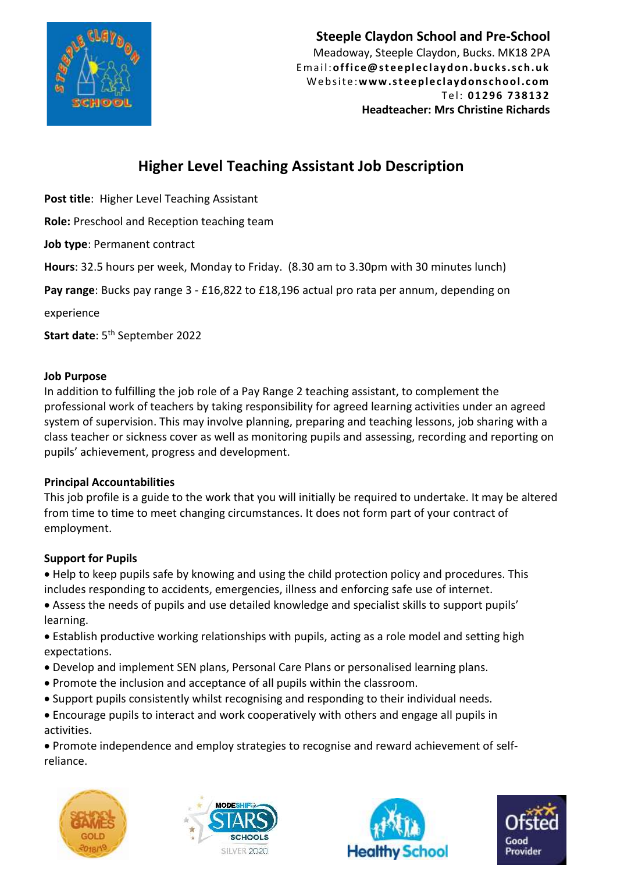

**Steeple Claydon School and Pre-School** Meadoway, Steeple Claydon, Bucks. MK18 2PA Email: office@steepleclaydon.bucks.sch.uk W e b si te :**w w w .s t ee p le c l ay d o ns c h o ol .c om** T e l: **01 296 73 813 2 Headteacher: Mrs Christine Richards**

# **Higher Level Teaching Assistant Job Description**

**Post title**: Higher Level Teaching Assistant

**Role:** Preschool and Reception teaching team

**Job type**: Permanent contract

**Hours**: 32.5 hours per week, Monday to Friday. (8.30 am to 3.30pm with 30 minutes lunch)

**Pay range**: Bucks pay range 3 - £16,822 to £18,196 actual pro rata per annum, depending on

experience

**Start date**: 5 th September 2022

#### **Job Purpose**

In addition to fulfilling the job role of a Pay Range 2 teaching assistant, to complement the professional work of teachers by taking responsibility for agreed learning activities under an agreed system of supervision. This may involve planning, preparing and teaching lessons, job sharing with a class teacher or sickness cover as well as monitoring pupils and assessing, recording and reporting on pupils' achievement, progress and development.

### **Principal Accountabilities**

This job profile is a guide to the work that you will initially be required to undertake. It may be altered from time to time to meet changing circumstances. It does not form part of your contract of employment.

### **Support for Pupils**

• Help to keep pupils safe by knowing and using the child protection policy and procedures. This includes responding to accidents, emergencies, illness and enforcing safe use of internet.

• Assess the needs of pupils and use detailed knowledge and specialist skills to support pupils' learning.

• Establish productive working relationships with pupils, acting as a role model and setting high expectations.

- Develop and implement SEN plans, Personal Care Plans or personalised learning plans.
- Promote the inclusion and acceptance of all pupils within the classroom.
- Support pupils consistently whilst recognising and responding to their individual needs.
- Encourage pupils to interact and work cooperatively with others and engage all pupils in activities.

• Promote independence and employ strategies to recognise and reward achievement of selfreliance.